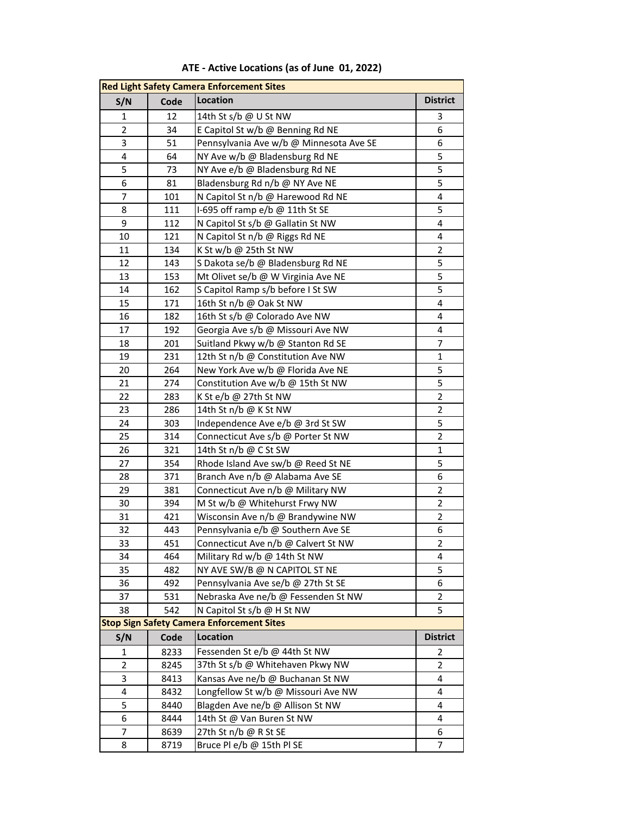| <b>Red Light Safety Camera Enforcement Sites</b> |      |                                         |                 |  |  |  |
|--------------------------------------------------|------|-----------------------------------------|-----------------|--|--|--|
| S/N                                              | Code | <b>Location</b>                         | <b>District</b> |  |  |  |
| $\mathbf{1}$                                     | 12   | 14th St s/b @ U St NW                   | 3               |  |  |  |
| $\overline{2}$                                   | 34   | E Capitol St w/b @ Benning Rd NE        | 6               |  |  |  |
| 3                                                | 51   | Pennsylvania Ave w/b @ Minnesota Ave SE | 6               |  |  |  |
| $\pmb{4}$                                        | 64   | NY Ave w/b @ Bladensburg Rd NE          | 5               |  |  |  |
| 5                                                | 73   | NY Ave e/b @ Bladensburg Rd NE          | 5               |  |  |  |
| 6                                                | 81   | Bladensburg Rd n/b @ NY Ave NE          | 5               |  |  |  |
| $\overline{7}$                                   | 101  | N Capitol St n/b @ Harewood Rd NE       | 4               |  |  |  |
| 8                                                | 111  | I-695 off ramp e/b @ 11th St SE         | 5               |  |  |  |
| 9                                                | 112  | N Capitol St s/b @ Gallatin St NW       | 4               |  |  |  |
| 10                                               | 121  | N Capitol St n/b @ Riggs Rd NE          | 4               |  |  |  |
| 11                                               | 134  | K St w/b @ 25th St NW                   | $\overline{2}$  |  |  |  |
| 12                                               | 143  | S Dakota se/b @ Bladensburg Rd NE       | 5               |  |  |  |
| 13                                               | 153  | Mt Olivet se/b @ W Virginia Ave NE      | 5               |  |  |  |
| 14                                               | 162  | S Capitol Ramp s/b before I St SW       | $\overline{5}$  |  |  |  |
| 15                                               | 171  | 16th St n/b @ Oak St NW                 | 4               |  |  |  |
| 16                                               | 182  | 16th St s/b @ Colorado Ave NW           | 4               |  |  |  |
| 17                                               | 192  | Georgia Ave s/b @ Missouri Ave NW       | 4               |  |  |  |
| 18                                               | 201  | Suitland Pkwy w/b @ Stanton Rd SE       | 7               |  |  |  |
| 19                                               | 231  | 12th St n/b @ Constitution Ave NW       | $\mathbf{1}$    |  |  |  |
| 20                                               | 264  | New York Ave w/b @ Florida Ave NE       | 5               |  |  |  |
| 21                                               | 274  | Constitution Ave w/b @ 15th St NW       | 5               |  |  |  |
| 22                                               | 283  | K St e/b @ 27th St NW                   | $\overline{2}$  |  |  |  |
| 23                                               | 286  | 14th St n/b @ K St NW                   | $\overline{2}$  |  |  |  |
| 24                                               | 303  | Independence Ave e/b @ 3rd St SW        | 5               |  |  |  |
| 25                                               | 314  | Connecticut Ave s/b @ Porter St NW      | $\overline{2}$  |  |  |  |
| 26                                               | 321  | 14th St n/b @ C St SW                   | $\mathbf{1}$    |  |  |  |
| 27                                               | 354  | Rhode Island Ave sw/b @ Reed St NE      | 5               |  |  |  |
| 28                                               | 371  | Branch Ave n/b @ Alabama Ave SE         | 6               |  |  |  |
| 29                                               | 381  | Connecticut Ave n/b @ Military NW       | $\overline{2}$  |  |  |  |
| 30                                               | 394  | M St w/b @ Whitehurst Frwy NW           | $\overline{2}$  |  |  |  |
| 31                                               | 421  | Wisconsin Ave n/b @ Brandywine NW       | $\overline{2}$  |  |  |  |
| 32                                               | 443  | Pennsylvania e/b @ Southern Ave SE      | 6               |  |  |  |
| 33                                               | 451  | Connecticut Ave n/b @ Calvert St NW     | $\overline{2}$  |  |  |  |
| 34                                               | 464  | Military Rd w/b @ 14th St NW            | 4               |  |  |  |
| 35                                               | 482  | NY AVE SW/B @ N CAPITOL ST NE           | 5               |  |  |  |
| 36                                               | 492  | Pennsylvania Ave se/b @ 27th St SE      | 6               |  |  |  |
| 37                                               | 531  | Nebraska Ave ne/b @ Fessenden St NW     | $\overline{2}$  |  |  |  |
| 38                                               | 542  | N Capitol St s/b @ H St NW              | 5               |  |  |  |
| <b>Stop Sign Safety Camera Enforcement Sites</b> |      |                                         |                 |  |  |  |
| S/N                                              | Code | <b>Location</b>                         | <b>District</b> |  |  |  |
| 1                                                | 8233 | Fessenden St e/b @ 44th St NW           | 2               |  |  |  |
| $\overline{2}$                                   | 8245 | 37th St s/b @ Whitehaven Pkwy NW        | 2               |  |  |  |
| 3                                                | 8413 | Kansas Ave ne/b @ Buchanan St NW        | 4               |  |  |  |
| 4                                                | 8432 | Longfellow St w/b @ Missouri Ave NW     | 4               |  |  |  |
| 5                                                | 8440 | Blagden Ave ne/b @ Allison St NW        | 4               |  |  |  |
| 6                                                | 8444 | 14th St @ Van Buren St NW               | 4               |  |  |  |
| $\overline{7}$                                   | 8639 | 27th St n/b @ R St SE                   | 6               |  |  |  |
| 8                                                | 8719 | Bruce Pl e/b @ 15th Pl SE               | $\overline{7}$  |  |  |  |

**ATE - Active Locations (as of June 01, 2022)**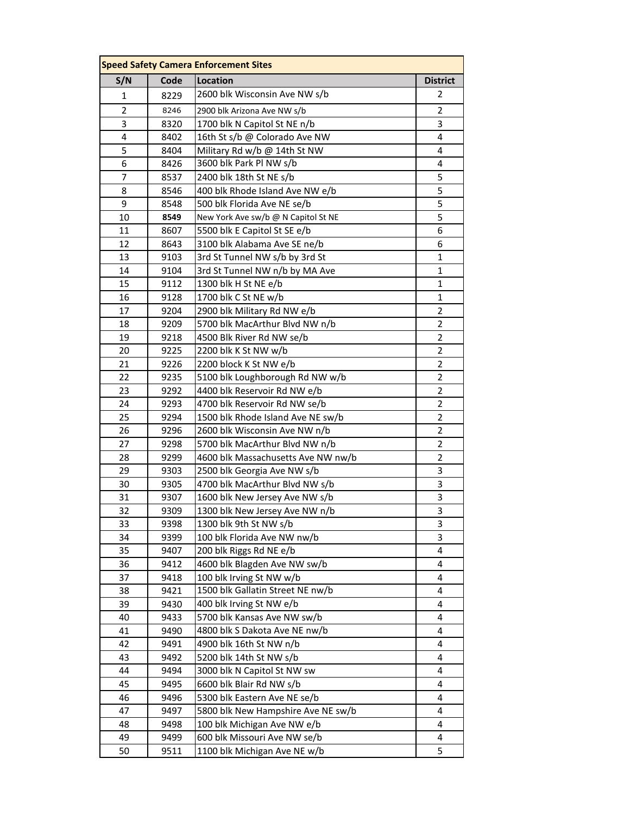| <b>Speed Safety Camera Enforcement Sites</b> |      |                                     |                 |  |  |  |
|----------------------------------------------|------|-------------------------------------|-----------------|--|--|--|
| S/N                                          | Code | Location                            | <b>District</b> |  |  |  |
| 1                                            | 8229 | 2600 blk Wisconsin Ave NW s/b       | 2               |  |  |  |
| $\overline{2}$                               | 8246 | 2900 blk Arizona Ave NW s/b         | 2               |  |  |  |
| 3                                            | 8320 | 1700 blk N Capitol St NE n/b        | 3               |  |  |  |
| 4                                            | 8402 | 16th St s/b @ Colorado Ave NW       | 4               |  |  |  |
| 5                                            | 8404 | Military Rd w/b @ 14th St NW        | 4               |  |  |  |
| 6                                            | 8426 | 3600 blk Park Pl NW s/b             | 4               |  |  |  |
| $\overline{7}$                               | 8537 | 2400 blk 18th St NE s/b             | 5               |  |  |  |
| 8                                            | 8546 | 400 blk Rhode Island Ave NW e/b     | 5               |  |  |  |
| 9                                            | 8548 | 500 blk Florida Ave NE se/b         | 5               |  |  |  |
| 10                                           | 8549 | New York Ave sw/b @ N Capitol St NE | 5               |  |  |  |
| 11                                           | 8607 | 5500 blk E Capitol St SE e/b        | 6               |  |  |  |
| 12                                           | 8643 | 3100 blk Alabama Ave SE ne/b        | 6               |  |  |  |
| 13                                           | 9103 | 3rd St Tunnel NW s/b by 3rd St      | $\mathbf{1}$    |  |  |  |
| 14                                           | 9104 | 3rd St Tunnel NW n/b by MA Ave      | $\mathbf{1}$    |  |  |  |
| 15                                           | 9112 | 1300 blk H St NE e/b                | $\mathbf{1}$    |  |  |  |
| 16                                           | 9128 | 1700 blk C St NE w/b                | 1               |  |  |  |
| 17                                           | 9204 | 2900 blk Military Rd NW e/b         | $\overline{2}$  |  |  |  |
| 18                                           | 9209 | 5700 blk MacArthur Blvd NW n/b      | $\overline{2}$  |  |  |  |
| 19                                           | 9218 | 4500 Blk River Rd NW se/b           | $\overline{2}$  |  |  |  |
| 20                                           | 9225 | 2200 blk K St NW w/b                | $\overline{2}$  |  |  |  |
| 21                                           | 9226 | 2200 block K St NW e/b              | $\overline{2}$  |  |  |  |
| 22                                           | 9235 | 5100 blk Loughborough Rd NW w/b     | $\overline{2}$  |  |  |  |
| 23                                           | 9292 | 4400 blk Reservoir Rd NW e/b        | $\overline{2}$  |  |  |  |
| 24                                           | 9293 | 4700 blk Reservoir Rd NW se/b       | $\overline{2}$  |  |  |  |
| 25                                           | 9294 | 1500 blk Rhode Island Ave NE sw/b   | $\overline{2}$  |  |  |  |
| 26                                           | 9296 | 2600 blk Wisconsin Ave NW n/b       | $\overline{2}$  |  |  |  |
| 27                                           | 9298 | 5700 blk MacArthur Blvd NW n/b      | $\overline{2}$  |  |  |  |
| 28                                           | 9299 | 4600 blk Massachusetts Ave NW nw/b  | $\overline{2}$  |  |  |  |
| 29                                           | 9303 | 2500 blk Georgia Ave NW s/b         | 3               |  |  |  |
| 30                                           | 9305 | 4700 blk MacArthur Blvd NW s/b      | 3               |  |  |  |
| 31                                           | 9307 | 1600 blk New Jersey Ave NW s/b      | 3               |  |  |  |
| 32                                           | 9309 | 1300 blk New Jersey Ave NW n/b      | 3               |  |  |  |
| 33                                           | 9398 | 1300 blk 9th St NW s/b              | 3               |  |  |  |
| 34                                           | 9399 | 100 blk Florida Ave NW nw/b         | 3               |  |  |  |
| 35                                           | 9407 | 200 blk Riggs Rd NE e/b             | 4               |  |  |  |
| 36                                           | 9412 | 4600 blk Blagden Ave NW sw/b        | 4               |  |  |  |
| 37                                           | 9418 | 100 blk Irving St NW w/b            | 4               |  |  |  |
| 38                                           | 9421 | 1500 blk Gallatin Street NE nw/b    | 4               |  |  |  |
| 39                                           | 9430 | 400 blk Irving St NW e/b            | 4               |  |  |  |
| 40                                           | 9433 | 5700 blk Kansas Ave NW sw/b         | 4               |  |  |  |
| 41                                           | 9490 | 4800 blk S Dakota Ave NE nw/b       | 4               |  |  |  |
| 42                                           | 9491 | 4900 blk 16th St NW n/b             | 4               |  |  |  |
| 43                                           | 9492 | 5200 blk 14th St NW s/b             | 4               |  |  |  |
| 44                                           | 9494 | 3000 blk N Capitol St NW sw         | 4               |  |  |  |
| 45                                           | 9495 | 6600 blk Blair Rd NW s/b            | 4               |  |  |  |
| 46                                           | 9496 | 5300 blk Eastern Ave NE se/b        | 4               |  |  |  |
| 47                                           | 9497 | 5800 blk New Hampshire Ave NE sw/b  | 4               |  |  |  |
| 48                                           | 9498 | 100 blk Michigan Ave NW e/b         | 4               |  |  |  |
| 49                                           | 9499 | 600 blk Missouri Ave NW se/b        | 4               |  |  |  |
| 50                                           | 9511 | 1100 blk Michigan Ave NE w/b        | 5               |  |  |  |